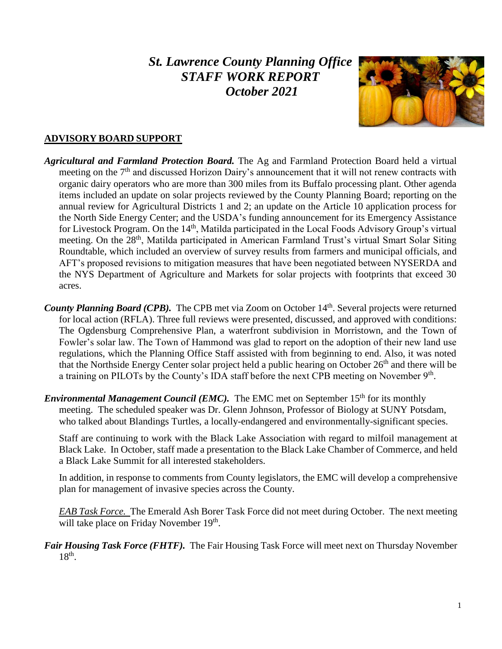# *St. Lawrence County Planning Office STAFF WORK REPORT October 2021*



### **ADVISORY BOARD SUPPORT**

- *Agricultural and Farmland Protection Board.* The Ag and Farmland Protection Board held a virtual meeting on the  $7<sup>th</sup>$  and discussed Horizon Dairy's announcement that it will not renew contracts with organic dairy operators who are more than 300 miles from its Buffalo processing plant. Other agenda items included an update on solar projects reviewed by the County Planning Board; reporting on the annual review for Agricultural Districts 1 and 2; an update on the Article 10 application process for the North Side Energy Center; and the USDA's funding announcement for its Emergency Assistance for Livestock Program. On the 14<sup>th</sup>, Matilda participated in the Local Foods Advisory Group's virtual meeting. On the 28<sup>th</sup>, Matilda participated in American Farmland Trust's virtual Smart Solar Siting Roundtable, which included an overview of survey results from farmers and municipal officials, and AFT's proposed revisions to mitigation measures that have been negotiated between NYSERDA and the NYS Department of Agriculture and Markets for solar projects with footprints that exceed 30 acres.
- County Planning Board (CPB). The CPB met via Zoom on October 14<sup>th</sup>. Several projects were returned for local action (RFLA). Three full reviews were presented, discussed, and approved with conditions: The Ogdensburg Comprehensive Plan, a waterfront subdivision in Morristown, and the Town of Fowler's solar law. The Town of Hammond was glad to report on the adoption of their new land use regulations, which the Planning Office Staff assisted with from beginning to end. Also, it was noted that the Northside Energy Center solar project held a public hearing on October 26<sup>th</sup> and there will be a training on PILOTs by the County's IDA staff before the next CPB meeting on November  $9<sup>th</sup>$ .
- *Environmental Management Council (EMC)*. The EMC met on September 15<sup>th</sup> for its monthly meeting. The scheduled speaker was Dr. Glenn Johnson, Professor of Biology at SUNY Potsdam, who talked about Blandings Turtles, a locally-endangered and environmentally-significant species.

Staff are continuing to work with the Black Lake Association with regard to milfoil management at Black Lake. In October, staff made a presentation to the Black Lake Chamber of Commerce, and held a Black Lake Summit for all interested stakeholders.

In addition, in response to comments from County legislators, the EMC will develop a comprehensive plan for management of invasive species across the County.

*EAB Task Force.* The Emerald Ash Borer Task Force did not meet during October. The next meeting will take place on Friday November 19<sup>th</sup>.

*Fair Housing Task Force (FHTF).* The Fair Housing Task Force will meet next on Thursday November  $18<sup>th</sup>$ .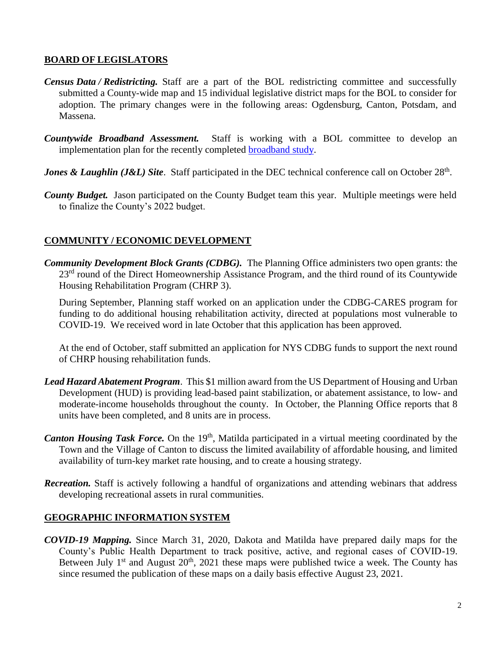#### **BOARD OF LEGISLATORS**

- *Census Data / Redistricting.* Staff are a part of the BOL redistricting committee and successfully submitted a County-wide map and 15 individual legislative district maps for the BOL to consider for adoption. The primary changes were in the following areas: Ogdensburg, Canton, Potsdam, and Massena.
- *Countywide Broadband Assessment.* Staff is working with a BOL committee to develop an implementation plan for the recently completed [broadband study.](https://stlawco.org/Broadband-Study)
- *Jones & Laughlin (J&L) Site.* Staff participated in the DEC technical conference call on October 28<sup>th</sup>.
- *County Budget.* Jason participated on the County Budget team this year. Multiple meetings were held to finalize the County's 2022 budget.

### **COMMUNITY / ECONOMIC DEVELOPMENT**

*Community Development Block Grants (CDBG).* The Planning Office administers two open grants: the 23<sup>rd</sup> round of the Direct Homeownership Assistance Program, and the third round of its Countywide Housing Rehabilitation Program (CHRP 3).

During September, Planning staff worked on an application under the CDBG-CARES program for funding to do additional housing rehabilitation activity, directed at populations most vulnerable to COVID-19. We received word in late October that this application has been approved.

At the end of October, staff submitted an application for NYS CDBG funds to support the next round of CHRP housing rehabilitation funds.

- *Lead Hazard Abatement Program*. This \$1 million award from the US Department of Housing and Urban Development (HUD) is providing lead-based paint stabilization, or abatement assistance, to low- and moderate-income households throughout the county. In October, the Planning Office reports that 8 units have been completed, and 8 units are in process.
- *Canton Housing Task Force.* On the 19<sup>th</sup>, Matilda participated in a virtual meeting coordinated by the Town and the Village of Canton to discuss the limited availability of affordable housing, and limited availability of turn-key market rate housing, and to create a housing strategy.
- *Recreation.* Staff is actively following a handful of organizations and attending webinars that address developing recreational assets in rural communities.

#### **GEOGRAPHIC INFORMATION SYSTEM**

*COVID-19 Mapping.* Since March 31, 2020, Dakota and Matilda have prepared daily maps for the County's Public Health Department to track positive, active, and regional cases of COVID-19. Between July  $1<sup>st</sup>$  and August  $20<sup>th</sup>$ ,  $2021$  these maps were published twice a week. The County has since resumed the publication of these maps on a daily basis effective August 23, 2021.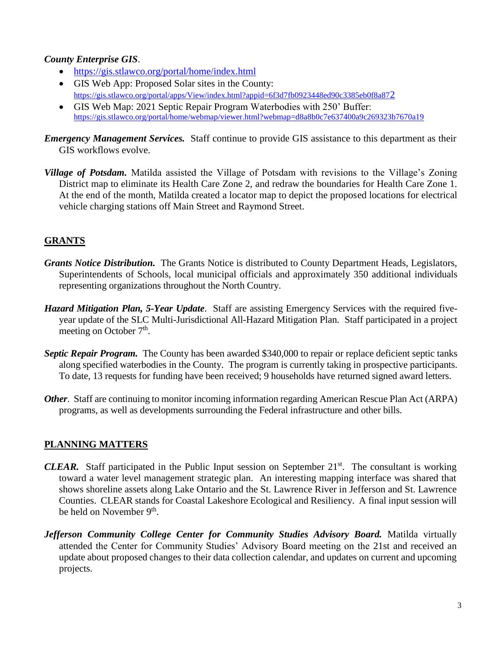#### *County Enterprise GIS*.

- <https://gis.stlawco.org/portal/home/index.html>
- GIS Web App: Proposed Solar sites in the County: [https://gis.stlawco.org/portal/apps/View/index.html?appid=6f3d7fb0923448ed90c3385eb0f8a87](https://gis.stlawco.org/portal/apps/View/index.html?appid=6f3d7fb0923448ed90c3385eb0f8a872)2
- GIS Web Map: 2021 Septic Repair Program Waterbodies with 250' Buffer: <https://gis.stlawco.org/portal/home/webmap/viewer.html?webmap=d8a8b0c7e637400a9c269323b7670a19>
- *Emergency Management Services.* Staff continue to provide GIS assistance to this department as their GIS workflows evolve.
- *Village of Potsdam.* Matilda assisted the Village of Potsdam with revisions to the Village's Zoning District map to eliminate its Health Care Zone 2, and redraw the boundaries for Health Care Zone 1. At the end of the month, Matilda created a locator map to depict the proposed locations for electrical vehicle charging stations off Main Street and Raymond Street.

## **GRANTS**

- *Grants Notice Distribution.* The Grants Notice is distributed to County Department Heads, Legislators, Superintendents of Schools, local municipal officials and approximately 350 additional individuals representing organizations throughout the North Country.
- *Hazard Mitigation Plan, 5-Year Update*. Staff are assisting Emergency Services with the required fiveyear update of the SLC Multi-Jurisdictional All-Hazard Mitigation Plan. Staff participated in a project meeting on October  $7<sup>th</sup>$ .
- *Septic Repair Program.* The County has been awarded \$340,000 to repair or replace deficient septic tanks along specified waterbodies in the County. The program is currently taking in prospective participants. To date, 13 requests for funding have been received; 9 households have returned signed award letters.
- *Other.* Staff are continuing to monitor incoming information regarding American Rescue Plan Act (ARPA) programs, as well as developments surrounding the Federal infrastructure and other bills.

## **PLANNING MATTERS**

- *CLEAR.* Staff participated in the Public Input session on September 21<sup>st</sup>. The consultant is working toward a water level management strategic plan. An interesting mapping interface was shared that shows shoreline assets along Lake Ontario and the St. Lawrence River in Jefferson and St. Lawrence Counties. CLEAR stands for Coastal Lakeshore Ecological and Resiliency. A final input session will be held on November 9<sup>th</sup>.
- *Jefferson Community College Center for Community Studies Advisory Board.* **Matilda virtually** attended the Center for Community Studies' Advisory Board meeting on the 21st and received an update about proposed changes to their data collection calendar, and updates on current and upcoming projects.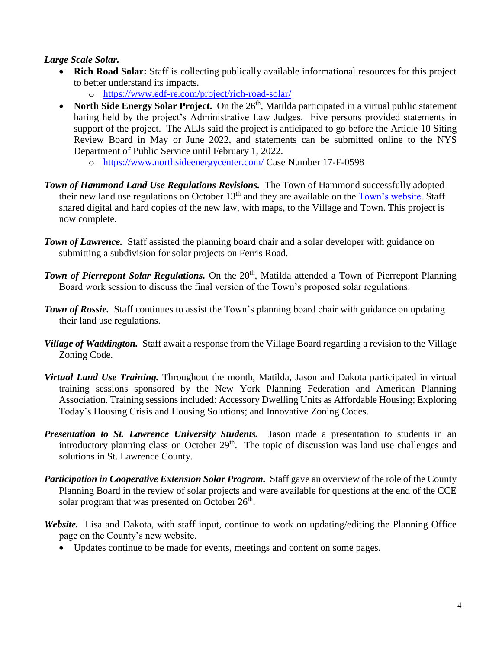#### *Large Scale Solar.*

- **Rich Road Solar:** Staff is collecting publically available informational resources for this project to better understand its impacts.
	- o <https://www.edf-re.com/project/rich-road-solar/>
- North Side Energy Solar Project. On the  $26<sup>th</sup>$ , Matilda participated in a virtual public statement haring held by the project's Administrative Law Judges. Five persons provided statements in support of the project. The ALJs said the project is anticipated to go before the Article 10 Siting Review Board in May or June 2022, and statements can be submitted online to the NYS Department of Public Service until February 1, 2022.
	- o <https://www.northsideenergycenter.com/> Case Number 17-F-0598
- *Town of Hammond Land Use Regulations Revisions.* The Town of Hammond successfully adopted their new land use regulations on October  $13<sup>th</sup>$  and they are available on the [Town's website.](https://townofhammondny.com/planning-board/) Staff shared digital and hard copies of the new law, with maps, to the Village and Town. This project is now complete.
- **Town of Lawrence.** Staff assisted the planning board chair and a solar developer with guidance on submitting a subdivision for solar projects on Ferris Road.
- **Town of Pierrepont Solar Regulations.** On the 20<sup>th</sup>, Matilda attended a Town of Pierrepont Planning Board work session to discuss the final version of the Town's proposed solar regulations.
- *Town of Rossie.* Staff continues to assist the Town's planning board chair with guidance on updating their land use regulations.
- *Village of Waddington.* Staff await a response from the Village Board regarding a revision to the Village Zoning Code.
- *Virtual Land Use Training.* Throughout the month, Matilda, Jason and Dakota participated in virtual training sessions sponsored by the New York Planning Federation and American Planning Association. Training sessions included: Accessory Dwelling Units as Affordable Housing; Exploring Today's Housing Crisis and Housing Solutions; and Innovative Zoning Codes.
- *Presentation to St. Lawrence University Students.* Jason made a presentation to students in an introductory planning class on October 29<sup>th</sup>. The topic of discussion was land use challenges and solutions in St. Lawrence County.
- *Participation in Cooperative Extension Solar Program.* Staff gave an overview of the role of the County Planning Board in the review of solar projects and were available for questions at the end of the CCE solar program that was presented on October  $26<sup>th</sup>$ .
- *Website.* Lisa and Dakota, with staff input, continue to work on updating/editing the Planning Office page on the County's new website.
	- Updates continue to be made for events, meetings and content on some pages.